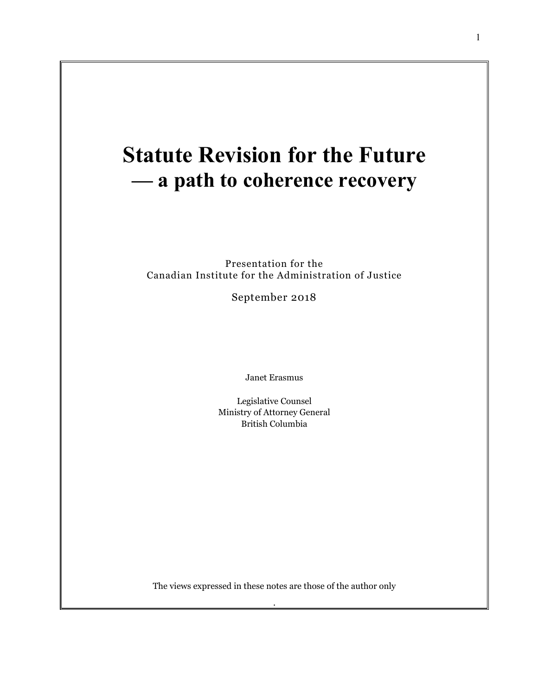# **Statute Revision for the Future — a path to coherence recovery**

Presentation for the Canadian Institute for the Administration of Justice

September 2018

Janet Erasmus

Legislative Counsel Ministry of Attorney General British Columbia

The views expressed in these notes are those of the author only

.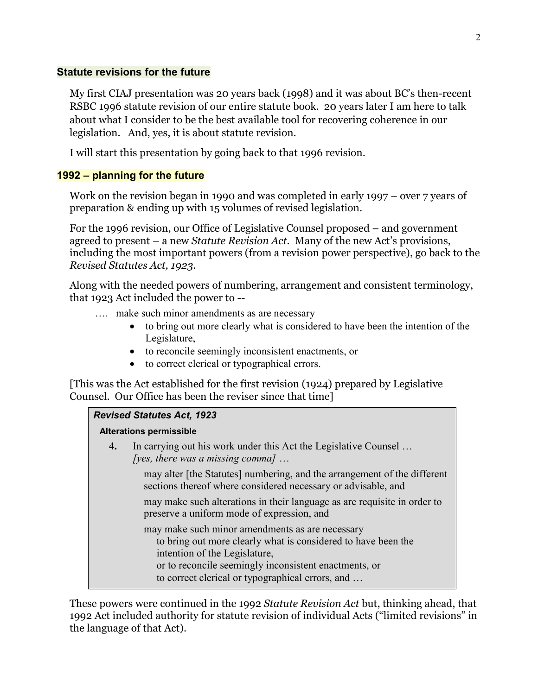# **Statute revisions for the future**

My first CIAJ presentation was 20 years back (1998) and it was about BC's then-recent RSBC 1996 statute revision of our entire statute book. 20 years later I am here to talk about what I consider to be the best available tool for recovering coherence in our legislation. And, yes, it is about statute revision.

I will start this presentation by going back to that 1996 revision.

# **1992 – planning for the future**

Work on the revision began in 1990 and was completed in early 1997 – over 7 years of preparation & ending up with 15 volumes of revised legislation.

For the 1996 revision, our Office of Legislative Counsel proposed – and government agreed to present – a new *Statute Revision Act*. Many of the new Act's provisions, including the most important powers (from a revision power perspective), go back to the *Revised Statutes Act, 1923*.

Along with the needed powers of numbering, arrangement and consistent terminology, that 1923 Act included the power to --

- …. make such minor amendments as are necessary
	- to bring out more clearly what is considered to have been the intention of the Legislature,
	- to reconcile seemingly inconsistent enactments, or
	- to correct clerical or typographical errors.

[This was the Act established for the first revision (1924) prepared by Legislative Counsel. Our Office has been the reviser since that time]

# *Revised Statutes Act, 1923*

# **Alterations permissible**

**4.** In carrying out his work under this Act the Legislative Counsel … *[yes, there was a missing comma]* …

> may alter [the Statutes] numbering, and the arrangement of the different sections thereof where considered necessary or advisable, and

may make such alterations in their language as are requisite in order to preserve a uniform mode of expression, and

- may make such minor amendments as are necessary to bring out more clearly what is considered to have been the intention of the Legislature, or to reconcile seemingly inconsistent enactments, or
	- to correct clerical or typographical errors, and …

These powers were continued in the 1992 *Statute Revision Act* but, thinking ahead, that 1992 Act included authority for statute revision of individual Acts ("limited revisions" in the language of that Act).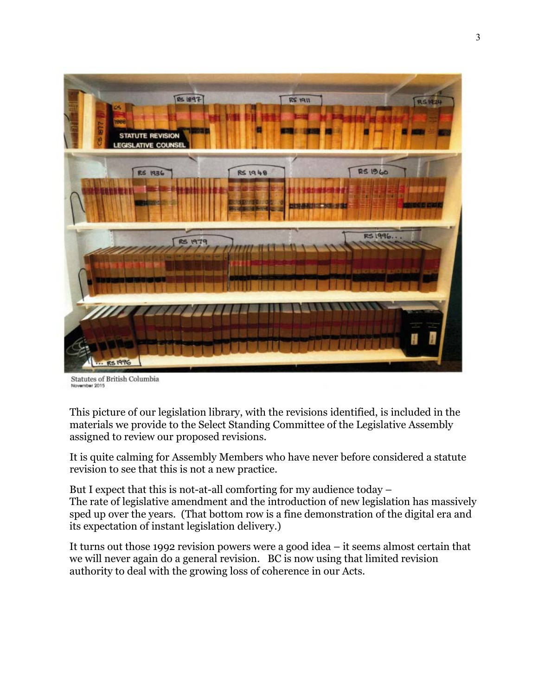

Statutes of British Columbia Movember 2015

This picture of our legislation library, with the revisions identified, is included in the materials we provide to the Select Standing Committee of the Legislative Assembly assigned to review our proposed revisions.

It is quite calming for Assembly Members who have never before considered a statute revision to see that this is not a new practice.

But I expect that this is not-at-all comforting for my audience today – The rate of legislative amendment and the introduction of new legislation has massively sped up over the years. (That bottom row is a fine demonstration of the digital era and its expectation of instant legislation delivery.)

It turns out those 1992 revision powers were a good idea – it seems almost certain that we will never again do a general revision. BC is now using that limited revision authority to deal with the growing loss of coherence in our Acts.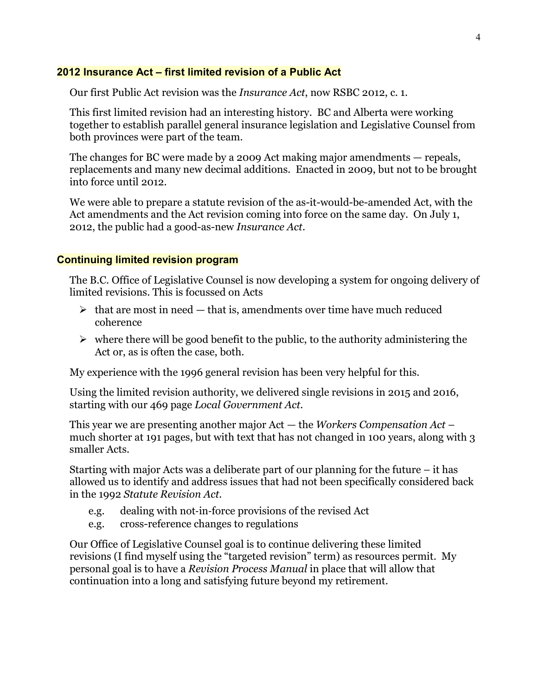### **2012 Insurance Act – first limited revision of a Public Act**

Our first Public Act revision was the *Insurance Act*, now RSBC 2012, c. 1.

This first limited revision had an interesting history. BC and Alberta were working together to establish parallel general insurance legislation and Legislative Counsel from both provinces were part of the team.

The changes for BC were made by a 2009 Act making major amendments — repeals, replacements and many new decimal additions. Enacted in 2009, but not to be brought into force until 2012.

We were able to prepare a statute revision of the as-it-would-be-amended Act, with the Act amendments and the Act revision coming into force on the same day. On July 1, 2012, the public had a good-as-new *Insurance Act*.

### **Continuing limited revision program**

The B.C. Office of Legislative Counsel is now developing a system for ongoing delivery of limited revisions. This is focussed on Acts

- $\triangleright$  that are most in need that is, amendments over time have much reduced coherence
- $\triangleright$  where there will be good benefit to the public, to the authority administering the Act or, as is often the case, both.

My experience with the 1996 general revision has been very helpful for this.

Using the limited revision authority, we delivered single revisions in 2015 and 2016, starting with our 469 page *Local Government Act*.

This year we are presenting another major Act *—* the *Workers Compensation Act* – much shorter at 191 pages, but with text that has not changed in 100 years, along with 3 smaller Acts.

Starting with major Acts was a deliberate part of our planning for the future – it has allowed us to identify and address issues that had not been specifically considered back in the 1992 *Statute Revision Act*.

- e.g. dealing with not‐in‐force provisions of the revised Act
- e.g. cross-reference changes to regulations

Our Office of Legislative Counsel goal is to continue delivering these limited revisions (I find myself using the "targeted revision" term) as resources permit. My personal goal is to have a *Revision Process Manual* in place that will allow that continuation into a long and satisfying future beyond my retirement.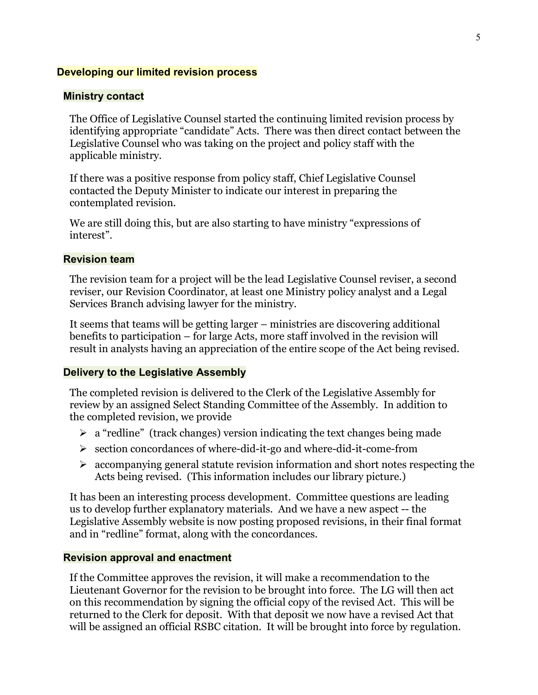### **Developing our limited revision process**

### **Ministry contact**

The Office of Legislative Counsel started the continuing limited revision process by identifying appropriate "candidate" Acts. There was then direct contact between the Legislative Counsel who was taking on the project and policy staff with the applicable ministry.

If there was a positive response from policy staff, Chief Legislative Counsel contacted the Deputy Minister to indicate our interest in preparing the contemplated revision.

We are still doing this, but are also starting to have ministry "expressions of interest".

## **Revision team**

The revision team for a project will be the lead Legislative Counsel reviser, a second reviser, our Revision Coordinator, at least one Ministry policy analyst and a Legal Services Branch advising lawyer for the ministry.

It seems that teams will be getting larger – ministries are discovering additional benefits to participation – for large Acts, more staff involved in the revision will result in analysts having an appreciation of the entire scope of the Act being revised.

### **Delivery to the Legislative Assembly**

The completed revision is delivered to the Clerk of the Legislative Assembly for review by an assigned Select Standing Committee of the Assembly. In addition to the completed revision, we provide

- $\geq$  a "redline" (track changes) version indicating the text changes being made
- $\triangleright$  section concordances of where-did-it-go and where-did-it-come-from
- $\triangleright$  accompanying general statute revision information and short notes respecting the Acts being revised. (This information includes our library picture.)

It has been an interesting process development. Committee questions are leading us to develop further explanatory materials. And we have a new aspect -- the Legislative Assembly website is now posting proposed revisions, in their final format and in "redline" format, along with the concordances.

### **Revision approval and enactment**

If the Committee approves the revision, it will make a recommendation to the Lieutenant Governor for the revision to be brought into force. The LG will then act on this recommendation by signing the official copy of the revised Act. This will be returned to the Clerk for deposit. With that deposit we now have a revised Act that will be assigned an official RSBC citation. It will be brought into force by regulation.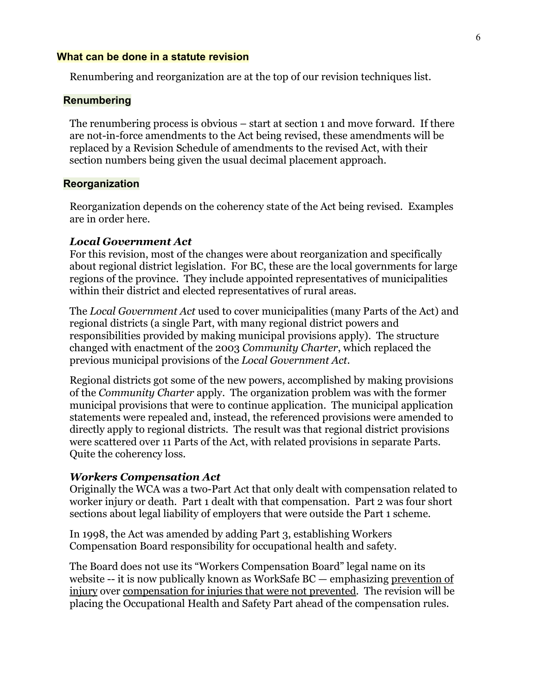### **What can be done in a statute revision**

Renumbering and reorganization are at the top of our revision techniques list.

### **Renumbering**

The renumbering process is obvious – start at section 1 and move forward. If there are not-in-force amendments to the Act being revised, these amendments will be replaced by a Revision Schedule of amendments to the revised Act, with their section numbers being given the usual decimal placement approach.

### **Reorganization**

Reorganization depends on the coherency state of the Act being revised. Examples are in order here.

### *Local Government Act*

For this revision, most of the changes were about reorganization and specifically about regional district legislation. For BC, these are the local governments for large regions of the province. They include appointed representatives of municipalities within their district and elected representatives of rural areas.

The *Local Government Act* used to cover municipalities (many Parts of the Act) and regional districts (a single Part, with many regional district powers and responsibilities provided by making municipal provisions apply). The structure changed with enactment of the 2003 *Community Charter*, which replaced the previous municipal provisions of the *Local Government Act*.

Regional districts got some of the new powers, accomplished by making provisions of the *Community Charter* apply. The organization problem was with the former municipal provisions that were to continue application. The municipal application statements were repealed and, instead, the referenced provisions were amended to directly apply to regional districts. The result was that regional district provisions were scattered over 11 Parts of the Act, with related provisions in separate Parts. Quite the coherency loss.

### *Workers Compensation Act*

Originally the WCA was a two-Part Act that only dealt with compensation related to worker injury or death. Part 1 dealt with that compensation. Part 2 was four short sections about legal liability of employers that were outside the Part 1 scheme.

In 1998, the Act was amended by adding Part 3, establishing Workers Compensation Board responsibility for occupational health and safety.

The Board does not use its "Workers Compensation Board" legal name on its website -- it is now publically known as WorkSafe BC — emphasizing prevention of injury over compensation for injuries that were not prevented. The revision will be placing the Occupational Health and Safety Part ahead of the compensation rules.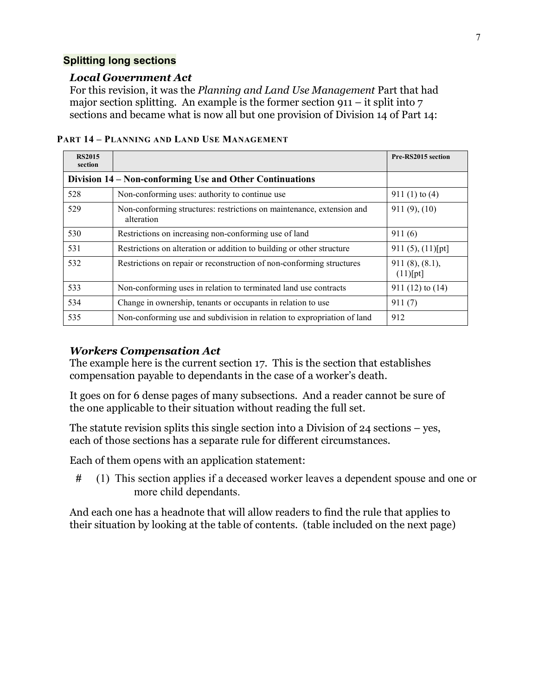# **Splitting long sections**

# *Local Government Act*

For this revision, it was the *Planning and Land Use Management* Part that had major section splitting. An example is the former section 911 – it split into  $7$ sections and became what is now all but one provision of Division 14 of Part 14:

| <b>RS2015</b><br>section                                 |                                                                                     | Pre-RS2015 section            |
|----------------------------------------------------------|-------------------------------------------------------------------------------------|-------------------------------|
| Division 14 – Non-conforming Use and Other Continuations |                                                                                     |                               |
| 528                                                      | Non-conforming uses: authority to continue use                                      | 911 $(1)$ to $(4)$            |
| 529                                                      | Non-conforming structures: restrictions on maintenance, extension and<br>alteration | $911(9)$ , $(10)$             |
| 530                                                      | Restrictions on increasing non-conforming use of land                               | 911(6)                        |
| 531                                                      | Restrictions on alteration or addition to building or other structure               | 911 $(5)$ , $(11)$ [pt]       |
| 532                                                      | Restrictions on repair or reconstruction of non-conforming structures               | 911(8), (8.1),<br>$(11)$ [pt] |
| 533                                                      | Non-conforming uses in relation to terminated land use contracts                    | $911(12)$ to $(14)$           |
| 534                                                      | Change in ownership, tenants or occupants in relation to use                        | 911(7)                        |
| 535                                                      | Non-conforming use and subdivision in relation to expropriation of land             | 912                           |

**PART 14 – PLANNING AND LAND USE MANAGEMENT**

# *Workers Compensation Act*

The example here is the current section 17. This is the section that establishes compensation payable to dependants in the case of a worker's death.

It goes on for 6 dense pages of many subsections. And a reader cannot be sure of the one applicable to their situation without reading the full set.

The statute revision splits this single section into a Division of 24 sections – yes, each of those sections has a separate rule for different circumstances.

Each of them opens with an application statement:

**#** (1) This section applies if a deceased worker leaves a dependent spouse and one or more child dependants.

And each one has a headnote that will allow readers to find the rule that applies to their situation by looking at the table of contents. (table included on the next page)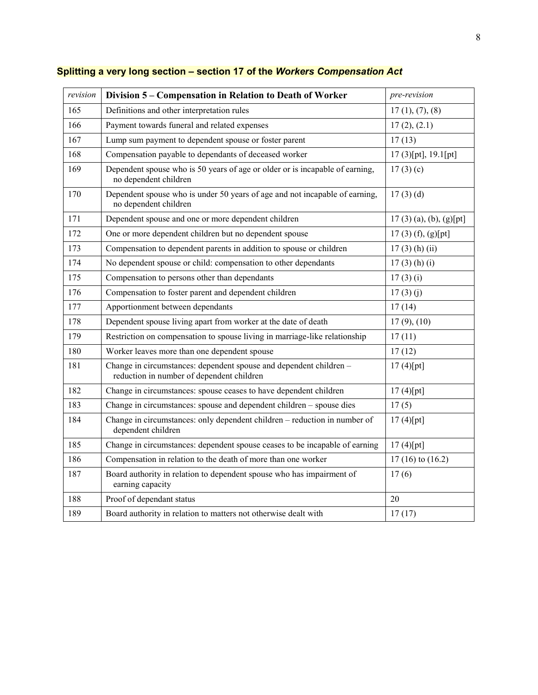| revision | Division 5 – Compensation in Relation to Death of Worker                                                        | pre-revision              |
|----------|-----------------------------------------------------------------------------------------------------------------|---------------------------|
| 165      | Definitions and other interpretation rules                                                                      | 17(1), (7), (8)           |
| 166      | Payment towards funeral and related expenses                                                                    | 17(2), (2.1)              |
| 167      | Lump sum payment to dependent spouse or foster parent                                                           | 17(13)                    |
| 168      | Compensation payable to dependants of deceased worker                                                           | $17(3)$ [pt], $19.1$ [pt] |
| 169      | Dependent spouse who is 50 years of age or older or is incapable of earning,<br>no dependent children           | 17(3)(c)                  |
| 170      | Dependent spouse who is under 50 years of age and not incapable of earning,<br>no dependent children            | $17(3)$ (d)               |
| 171      | Dependent spouse and one or more dependent children                                                             | $17(3)$ (a), (b), (g)[pt] |
| 172      | One or more dependent children but no dependent spouse                                                          | 17(3) (f), (g)[pt]        |
| 173      | Compensation to dependent parents in addition to spouse or children                                             | $17(3)$ (h) (ii)          |
| 174      | No dependent spouse or child: compensation to other dependants                                                  | $17(3)$ (h) (i)           |
| 175      | Compensation to persons other than dependants                                                                   | 17(3)(i)                  |
| 176      | Compensation to foster parent and dependent children                                                            | 17(3)(j)                  |
| 177      | Apportionment between dependants                                                                                | 17(14)                    |
| 178      | Dependent spouse living apart from worker at the date of death                                                  | $17(9)$ , $(10)$          |
| 179      | Restriction on compensation to spouse living in marriage-like relationship                                      | 17(11)                    |
| 180      | Worker leaves more than one dependent spouse                                                                    | 17(12)                    |
| 181      | Change in circumstances: dependent spouse and dependent children –<br>reduction in number of dependent children | 17(4)[pt]                 |
| 182      | Change in circumstances: spouse ceases to have dependent children                                               | 17(4)[pt]                 |
| 183      | Change in circumstances: spouse and dependent children – spouse dies                                            | 17(5)                     |
| 184      | Change in circumstances: only dependent children - reduction in number of<br>dependent children                 | 17(4)[pt]                 |
| 185      | Change in circumstances: dependent spouse ceases to be incapable of earning                                     | 17(4)[pt]                 |
| 186      | Compensation in relation to the death of more than one worker                                                   | $17(16)$ to $(16.2)$      |
| 187      | Board authority in relation to dependent spouse who has impairment of<br>earning capacity                       | 17(6)                     |
| 188      | Proof of dependant status                                                                                       | 20                        |
| 189      | Board authority in relation to matters not otherwise dealt with                                                 | 17(17)                    |

# **Splitting a very long section – section 17 of the** *Workers Compensation Act*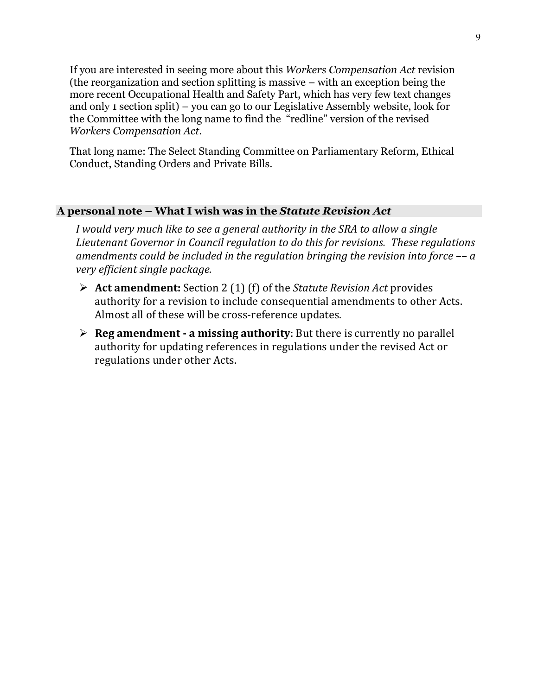If you are interested in seeing more about this *Workers Compensation Act* revision (the reorganization and section splitting is massive – with an exception being the more recent Occupational Health and Safety Part, which has very few text changes and only 1 section split) – you can go to our Legislative Assembly website, look for the Committee with the long name to find the "redline" version of the revised *Workers Compensation Act*.

That long name: The Select Standing Committee on Parliamentary Reform, Ethical Conduct, Standing Orders and Private Bills.

# **A personal note – What I wish was in the** *Statute Revision Act*

*I would very much like to see a general authority in the SRA to allow a single Lieutenant Governor in Council regulation to do this for revisions. These regulations amendments could be included in the regulation bringing the revision into force –– a very efficient single package.* 

- **Act amendment:** Section 2 (1) (f) of the *Statute Revision Act* provides authority for a revision to include consequential amendments to other Acts. Almost all of these will be cross-reference updates.
- **Reg amendment ‐ a missing authority**: But there is currently no parallel authority for updating references in regulations under the revised Act or regulations under other Acts.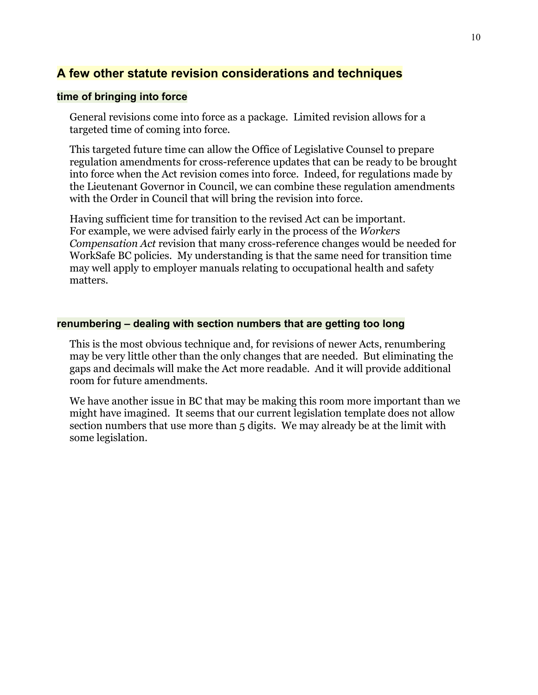# **A few other statute revision considerations and techniques**

### **time of bringing into force**

General revisions come into force as a package. Limited revision allows for a targeted time of coming into force.

This targeted future time can allow the Office of Legislative Counsel to prepare regulation amendments for cross-reference updates that can be ready to be brought into force when the Act revision comes into force. Indeed, for regulations made by the Lieutenant Governor in Council, we can combine these regulation amendments with the Order in Council that will bring the revision into force.

Having sufficient time for transition to the revised Act can be important. For example, we were advised fairly early in the process of the *Workers Compensation Act* revision that many cross-reference changes would be needed for WorkSafe BC policies. My understanding is that the same need for transition time may well apply to employer manuals relating to occupational health and safety matters.

# **renumbering – dealing with section numbers that are getting too long**

This is the most obvious technique and, for revisions of newer Acts, renumbering may be very little other than the only changes that are needed. But eliminating the gaps and decimals will make the Act more readable. And it will provide additional room for future amendments.

We have another issue in BC that may be making this room more important than we might have imagined. It seems that our current legislation template does not allow section numbers that use more than 5 digits. We may already be at the limit with some legislation.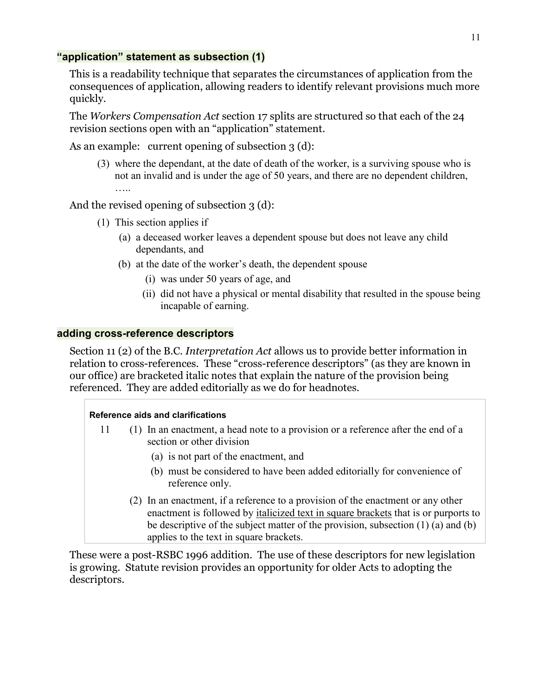# **"application" statement as subsection (1)**

This is a readability technique that separates the circumstances of application from the consequences of application, allowing readers to identify relevant provisions much more quickly.

The *Workers Compensation Act* section 17 splits are structured so that each of the 24 revision sections open with an "application" statement.

As an example: current opening of subsection 3 (d):

(3) where the dependant, at the date of death of the worker, is a surviving spouse who is not an invalid and is under the age of 50 years, and there are no dependent children,

And the revised opening of subsection 3 (d):

- (1) This section applies if
	- (a) a deceased worker leaves a dependent spouse but does not leave any child dependants, and
	- (b) at the date of the worker's death, the dependent spouse
		- (i) was under 50 years of age, and
		- (ii) did not have a physical or mental disability that resulted in the spouse being incapable of earning.

# **adding cross-reference descriptors**

Section 11 (2) of the B.C. *Interpretation Act* allows us to provide better information in relation to cross-references. These "cross-reference descriptors" (as they are known in our office) are bracketed italic notes that explain the nature of the provision being referenced. They are added editorially as we do for headnotes.

# **Reference aids and clarifications**

- 11 (1) In an enactment, a head note to a provision or a reference after the end of a section or other division
	- (a) is not part of the enactment, and
	- (b) must be considered to have been added editorially for convenience of reference only.
	- (2) In an enactment, if a reference to a provision of the enactment or any other enactment is followed by italicized text in square brackets that is or purports to be descriptive of the subject matter of the provision, subsection (1) (a) and (b) applies to the text in square brackets.

These were a post-RSBC 1996 addition. The use of these descriptors for new legislation is growing. Statute revision provides an opportunity for older Acts to adopting the descriptors.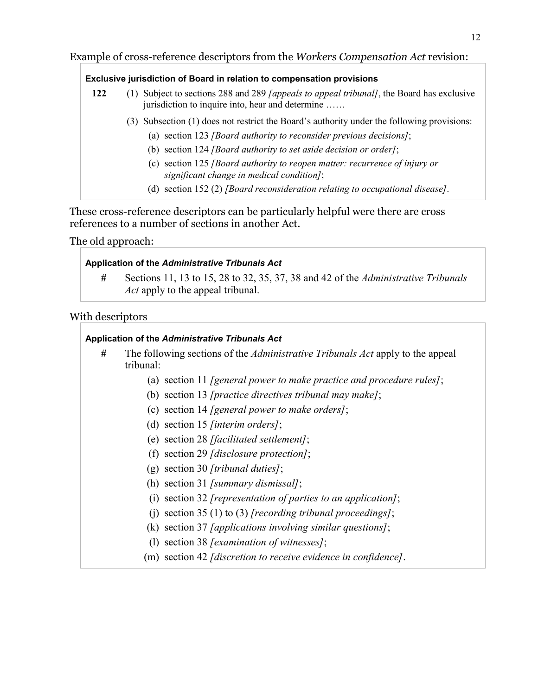# Example of cross-reference descriptors from the *Workers Compensation Act* revision:

### **Exclusive jurisdiction of Board in relation to compensation provisions**

- **122** (1) Subject to sections 288 and 289 *[appeals to appeal tribunal]*, the Board has exclusive jurisdiction to inquire into, hear and determine ……
	- (3) Subsection (1) does not restrict the Board's authority under the following provisions:
		- (a) section 123 *[Board authority to reconsider previous decisions]*;
		- (b) section 124 *[Board authority to set aside decision or order]*;
		- (c) section 125 *[Board authority to reopen matter: recurrence of injury or significant change in medical condition]*;
		- (d) section 152 (2) *[Board reconsideration relating to occupational disease]*.

These cross-reference descriptors can be particularly helpful were there are cross references to a number of sections in another Act.

The old approach:

### **Application of the** *Administrative Tribunals Act*

**#** Sections 11, 13 to 15, 28 to 32, 35, 37, 38 and 42 of the *Administrative Tribunals Act* apply to the appeal tribunal.

# With descriptors

# **Application of the** *Administrative Tribunals Act*

- **#** The following sections of the *Administrative Tribunals Act* apply to the appeal tribunal:
	- (a) section 11 *[general power to make practice and procedure rules]*;
	- (b) section 13 *[practice directives tribunal may make]*;
	- (c) section 14 *[general power to make orders]*;
	- (d) section 15 *[interim orders]*;
	- (e) section 28 *[facilitated settlement]*;
	- (f) section 29 *[disclosure protection]*;
	- (g) section 30 *[tribunal duties]*;
	- (h) section 31 *[summary dismissal]*;
	- (i) section 32 *[representation of parties to an application]*;
	- (j) section 35 (1) to (3) *[recording tribunal proceedings]*;
	- (k) section 37 *[applications involving similar questions]*;
	- (l) section 38 *[examination of witnesses]*;
	- (m) section 42 *[discretion to receive evidence in confidence]*.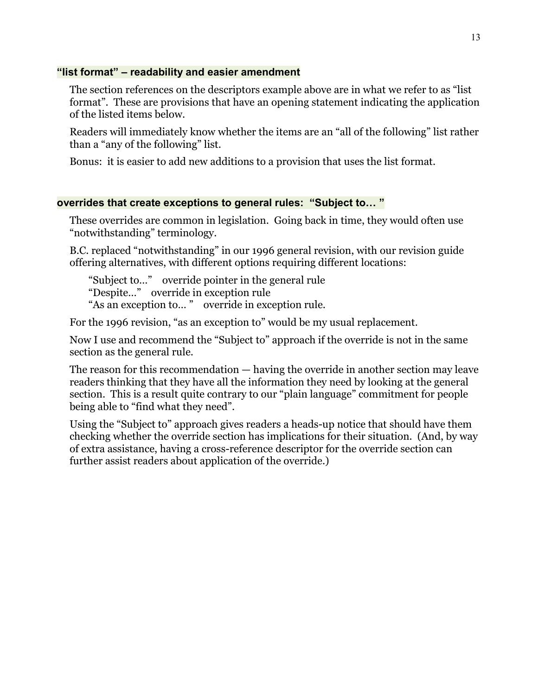# **"list format" – readability and easier amendment**

The section references on the descriptors example above are in what we refer to as "list format". These are provisions that have an opening statement indicating the application of the listed items below.

Readers will immediately know whether the items are an "all of the following" list rather than a "any of the following" list.

Bonus: it is easier to add new additions to a provision that uses the list format.

# **overrides that create exceptions to general rules: "Subject to… "**

These overrides are common in legislation. Going back in time, they would often use "notwithstanding" terminology.

B.C. replaced "notwithstanding" in our 1996 general revision, with our revision guide offering alternatives, with different options requiring different locations:

"Subject to…" override pointer in the general rule "Despite…" override in exception rule "As an exception to… " override in exception rule.

For the 1996 revision, "as an exception to" would be my usual replacement.

Now I use and recommend the "Subject to" approach if the override is not in the same section as the general rule.

The reason for this recommendation — having the override in another section may leave readers thinking that they have all the information they need by looking at the general section. This is a result quite contrary to our "plain language" commitment for people being able to "find what they need".

Using the "Subject to" approach gives readers a heads-up notice that should have them checking whether the override section has implications for their situation. (And, by way of extra assistance, having a cross-reference descriptor for the override section can further assist readers about application of the override.)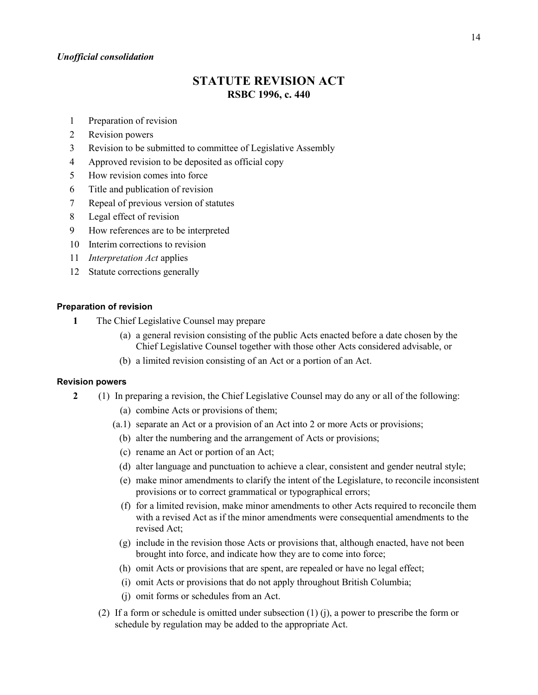#### *Unofficial consolidation*

# **STATUTE REVISION ACT RSBC 1996, c. 440**

- 1 Preparation of revision
- 2 Revision powers
- 3 Revision to be submitted to committee of Legislative Assembly
- 4 Approved revision to be deposited as official copy
- 5 How revision comes into force
- 6 Title and publication of revision
- 7 Repeal of previous version of statutes
- 8 Legal effect of revision
- 9 How references are to be interpreted
- 10 Interim corrections to revision
- 11 *Interpretation Act* applies
- 12 Statute corrections generally

#### **Preparation of revision**

- **1** The Chief Legislative Counsel may prepare
	- (a) a general revision consisting of the public Acts enacted before a date chosen by the Chief Legislative Counsel together with those other Acts considered advisable, or
	- (b) a limited revision consisting of an Act or a portion of an Act.

#### **Revision powers**

- **2** (1) In preparing a revision, the Chief Legislative Counsel may do any or all of the following:
	- (a) combine Acts or provisions of them;
	- (a.1) separate an Act or a provision of an Act into 2 or more Acts or provisions;
		- (b) alter the numbering and the arrangement of Acts or provisions;
		- (c) rename an Act or portion of an Act;
	- (d) alter language and punctuation to achieve a clear, consistent and gender neutral style;
	- (e) make minor amendments to clarify the intent of the Legislature, to reconcile inconsistent provisions or to correct grammatical or typographical errors;
	- (f) for a limited revision, make minor amendments to other Acts required to reconcile them with a revised Act as if the minor amendments were consequential amendments to the revised Act;
	- (g) include in the revision those Acts or provisions that, although enacted, have not been brought into force, and indicate how they are to come into force;
	- (h) omit Acts or provisions that are spent, are repealed or have no legal effect;
	- (i) omit Acts or provisions that do not apply throughout British Columbia;
	- (j) omit forms or schedules from an Act.
	- (2) If a form or schedule is omitted under subsection (1) (j), a power to prescribe the form or schedule by regulation may be added to the appropriate Act.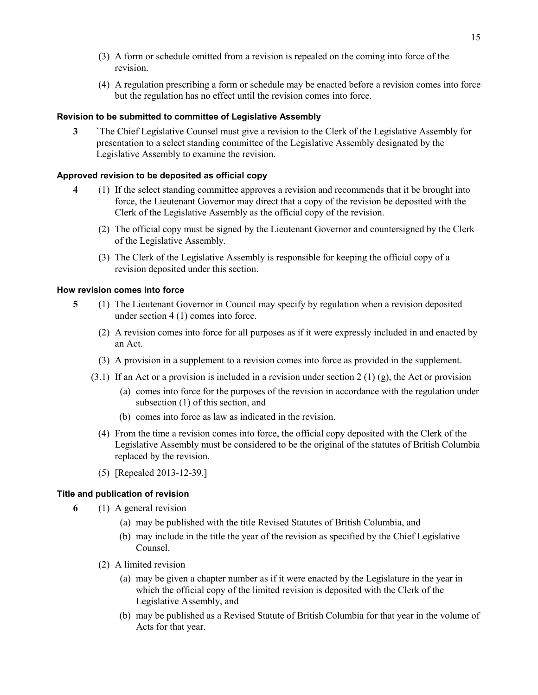- (3) A form or schedule omitted from a revision is repealed on the coming into force of the revision.
- (4) A regulation prescribing a form or schedule may be enacted before a revision comes into force but the regulation has no effect until the revision comes into force.

### **Revision to be submitted to committee of Legislative Assembly**

**3 `**The Chief Legislative Counsel must give a revision to the Clerk of the Legislative Assembly for presentation to a select standing committee of the Legislative Assembly designated by the Legislative Assembly to examine the revision.

### **Approved revision to be deposited as official copy**

- **4** (1) If the select standing committee approves a revision and recommends that it be brought into force, the Lieutenant Governor may direct that a copy of the revision be deposited with the Clerk of the Legislative Assembly as the official copy of the revision.
	- (2) The official copy must be signed by the Lieutenant Governor and countersigned by the Clerk of the Legislative Assembly.
	- (3) The Clerk of the Legislative Assembly is responsible for keeping the official copy of a revision deposited under this section.

### **How revision comes into force**

- **5** (1) The Lieutenant Governor in Council may specify by regulation when a revision deposited under section 4 (1) comes into force.
	- (2) A revision comes into force for all purposes as if it were expressly included in and enacted by an Act.
	- (3) A provision in a supplement to a revision comes into force as provided in the supplement.
	- $(3.1)$  If an Act or a provision is included in a revision under section 2 (1) (g), the Act or provision
		- (a) comes into force for the purposes of the revision in accordance with the regulation under subsection (1) of this section, and
		- (b) comes into force as law as indicated in the revision.
		- (4) From the time a revision comes into force, the official copy deposited with the Clerk of the Legislative Assembly must be considered to be the original of the statutes of British Columbia replaced by the revision.
		- (5) [Repealed 2013-12-39.]

### **Title and publication of revision**

- **6** (1) A general revision
	- (a) may be published with the title Revised Statutes of British Columbia, and
	- (b) may include in the title the year of the revision as specified by the Chief Legislative Counsel.
	- (2) A limited revision
		- (a) may be given a chapter number as if it were enacted by the Legislature in the year in which the official copy of the limited revision is deposited with the Clerk of the Legislative Assembly, and
		- (b) may be published as a Revised Statute of British Columbia for that year in the volume of Acts for that year.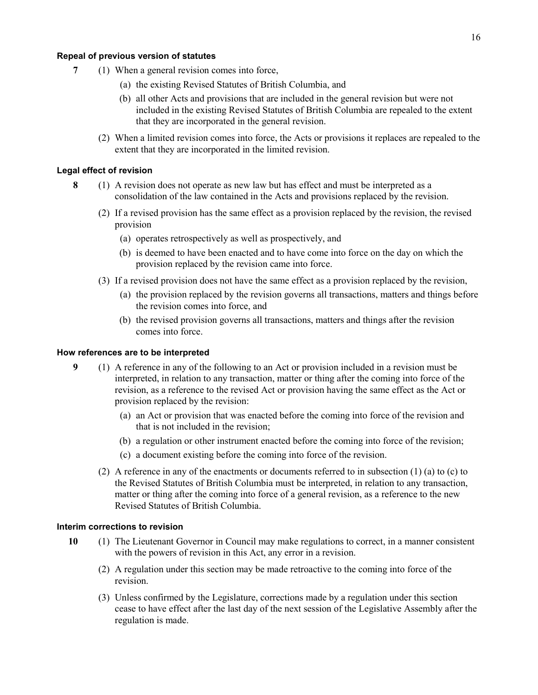#### **Repeal of previous version of statutes**

- **7** (1) When a general revision comes into force,
	- (a) the existing Revised Statutes of British Columbia, and
	- (b) all other Acts and provisions that are included in the general revision but were not included in the existing Revised Statutes of British Columbia are repealed to the extent that they are incorporated in the general revision.
	- (2) When a limited revision comes into force, the Acts or provisions it replaces are repealed to the extent that they are incorporated in the limited revision.

#### **Legal effect of revision**

- **8** (1) A revision does not operate as new law but has effect and must be interpreted as a consolidation of the law contained in the Acts and provisions replaced by the revision.
	- (2) If a revised provision has the same effect as a provision replaced by the revision, the revised provision
		- (a) operates retrospectively as well as prospectively, and
		- (b) is deemed to have been enacted and to have come into force on the day on which the provision replaced by the revision came into force.
	- (3) If a revised provision does not have the same effect as a provision replaced by the revision,
		- (a) the provision replaced by the revision governs all transactions, matters and things before the revision comes into force, and
		- (b) the revised provision governs all transactions, matters and things after the revision comes into force.

#### **How references are to be interpreted**

- **9** (1) A reference in any of the following to an Act or provision included in a revision must be interpreted, in relation to any transaction, matter or thing after the coming into force of the revision, as a reference to the revised Act or provision having the same effect as the Act or provision replaced by the revision:
	- (a) an Act or provision that was enacted before the coming into force of the revision and that is not included in the revision;
	- (b) a regulation or other instrument enacted before the coming into force of the revision;
	- (c) a document existing before the coming into force of the revision.
	- (2) A reference in any of the enactments or documents referred to in subsection (1) (a) to (c) to the Revised Statutes of British Columbia must be interpreted, in relation to any transaction, matter or thing after the coming into force of a general revision, as a reference to the new Revised Statutes of British Columbia.

### **Interim corrections to revision**

- **10** (1) The Lieutenant Governor in Council may make regulations to correct, in a manner consistent with the powers of revision in this Act, any error in a revision.
	- (2) A regulation under this section may be made retroactive to the coming into force of the revision.
	- (3) Unless confirmed by the Legislature, corrections made by a regulation under this section cease to have effect after the last day of the next session of the Legislative Assembly after the regulation is made.